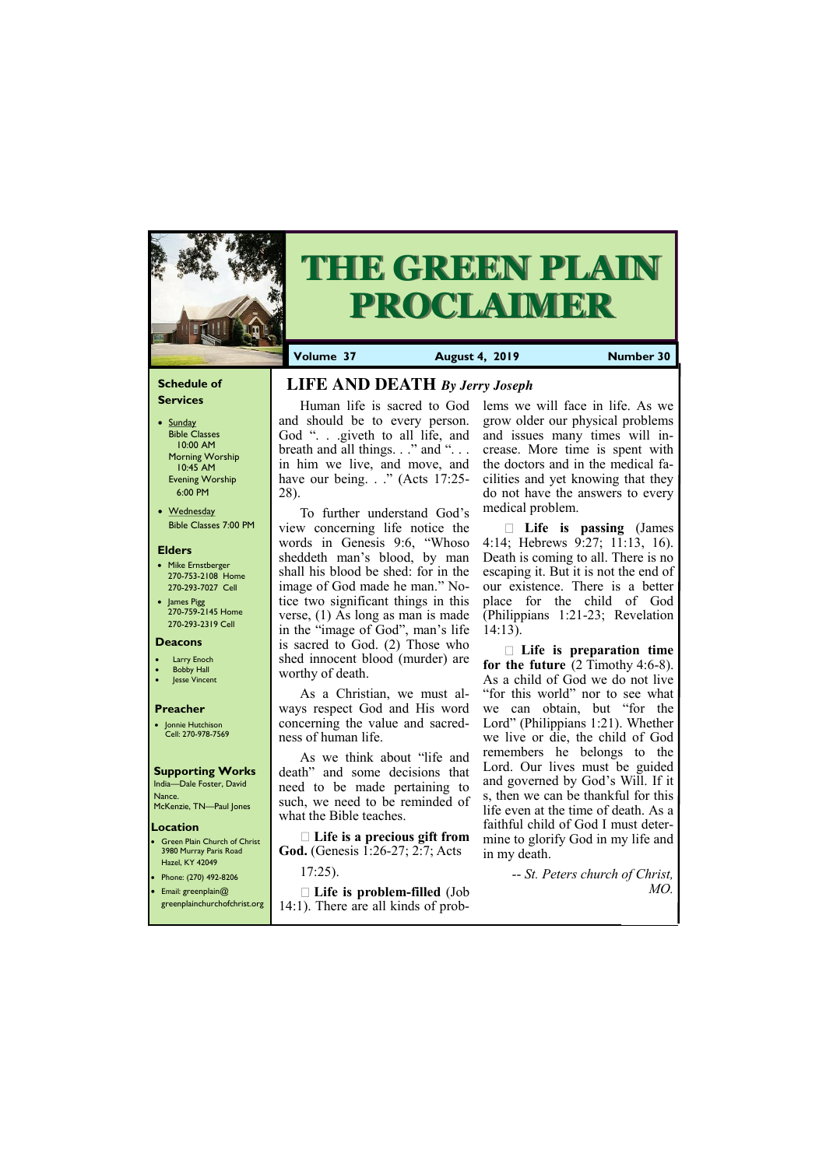## **Schedule of Services**

- Sunday Bible Classes 10:00 AM Morning Worship 10:45 AM Evening Worship 6:00 PM
- Wednesday Bible Classes 7:00 PM

## **Elders**

**Green Plain Church of Christ** 3980 Murray Paris Road Hazel, KY 42049 • Phone: (270) 492-8206

- Mike Ernstberger 270-753-2108 Home 270-293-7027 Cell
- James Pigg 270-759-2145 Home 270-293-2319 Cell

## **Location**

• Email: greenplain@ greenplainchurchofchrist.org



# **THE GREEN PLAIN PROCLAIMER**

**Volume 37 August 4, 2019 Number 30**

#### **Deacons**

- **Larry Enoch**
- **Bobby Hall**
- **Jesse Vincent**

## **Preacher**

• Jonnie Hutchison Cell: 270-978-7569

## **Supporting Works** India—Dale Foster, David

Nance. McKenzie, TN—Paul Jones

# **LIFE AND DEATH** *By Jerry Joseph*

Human life is sacred to God and should be to every person. God ". . .giveth to all life, and breath and all things. . ." and "... in him we live, and move, and have our being. . ." (Acts 17:25-28).

To further understand God's view concerning life notice the words in Genesis 9:6, "Whoso sheddeth man's blood, by man shall his blood be shed: for in the image of God made he man." Notice two significant things in this verse, (1) As long as man is made in the "image of God", man's life is sacred to God. (2) Those who shed innocent blood (murder) are worthy of death.

As a Christian, we must always respect God and His word concerning the value and sacredness of human life.

As we think about "life and death" and some decisions that need to be made pertaining to such, we need to be reminded of what the Bible teaches.

**Life is a precious gift from God.** (Genesis 1:26-27; 2:7; Acts

17:25).

# **Life is problem-filled** (Job 14:1). There are all kinds of prob-

lems we will face in life. As we grow older our physical problems and issues many times will increase. More time is spent with the doctors and in the medical facilities and yet knowing that they do not have the answers to every medical problem.

**Life is passing** (James 4:14; Hebrews 9:27; 11:13, 16). Death is coming to all. There is no escaping it. But it is not the end of our existence. There is a better place for the child of God (Philippians 1:21-23; Revelation 14:13).

**Life is preparation time for the future** (2 Timothy 4:6-8). As a child of God we do not live "for this world" nor to see what we can obtain, but "for the Lord" (Philippians 1:21). Whether we live or die, the child of God remembers he belongs to the Lord. Our lives must be guided and governed by God's Will. If it s, then we can be thankful for this life even at the time of death. As a faithful child of God I must determine to glorify God in my life and in my death.

-- *St. Peters church of Christ,* 

*MO.*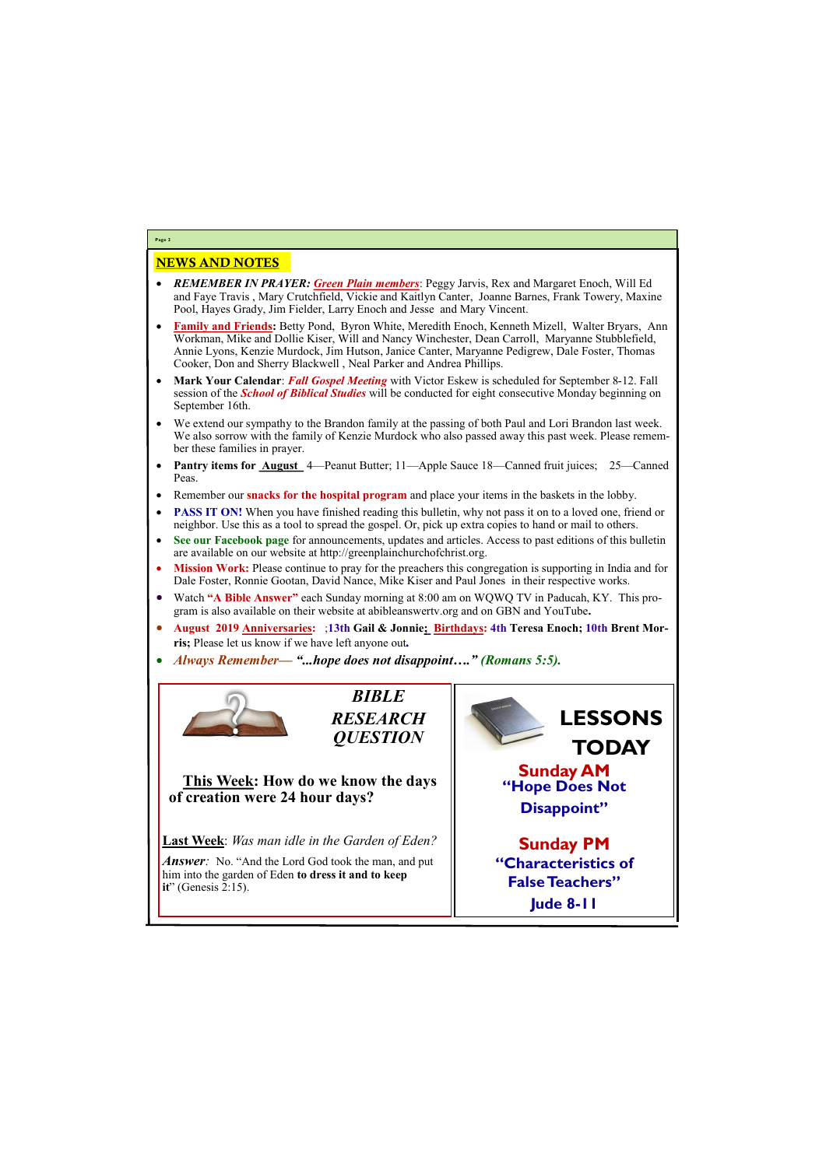# NEWS AND NOTES

- *REMEMBER IN PRAYER: Green Plain members*: Peggy Jarvis, Rex and Margaret Enoch, Will Ed and Faye Travis , Mary Crutchfield, Vickie and Kaitlyn Canter, Joanne Barnes, Frank Towery, Maxine Pool, Hayes Grady, Jim Fielder, Larry Enoch and Jesse and Mary Vincent.
- **Family and Friends:** Betty Pond, Byron White, Meredith Enoch, Kenneth Mizell, Walter Bryars, Ann Workman, Mike and Dollie Kiser, Will and Nancy Winchester, Dean Carroll, Maryanne Stubblefield, Annie Lyons, Kenzie Murdock, Jim Hutson, Janice Canter, Maryanne Pedigrew, Dale Foster, Thomas Cooker, Don and Sherry Blackwell , Neal Parker and Andrea Phillips.
- **Mark Your Calendar**: *Fall Gospel Meeting* with Victor Eskew is scheduled for September 8-12. Fall session of the *School of Biblical Studies* will be conducted for eight consecutive Monday beginning on September 16th.
- We extend our sympathy to the Brandon family at the passing of both Paul and Lori Brandon last week. We also sorrow with the family of Kenzie Murdock who also passed away this past week. Please remember these families in prayer.
- **Pantry items for August** 4—Peanut Butter; 11—Apple Sauce 18—Canned fruit juices; 25—Canned Peas.
- Remember our **snacks for the hospital program** and place your items in the baskets in the lobby.
- **PASS IT ON!** When you have finished reading this bulletin, why not pass it on to a loved one, friend or neighbor. Use this as a tool to spread the gospel. Or, pick up extra copies to hand or mail to others.
- **See our Facebook page** for announcements, updates and articles. Access to past editions of this bulletin are available on our website at http://greenplainchurchofchrist.org.
- **Mission Work:** Please continue to pray for the preachers this congregation is supporting in India and for Dale Foster, Ronnie Gootan, David Nance, Mike Kiser and Paul Jones in their respective works.
- Watch **"A Bible Answer"** each Sunday morning at 8:00 am on WQWQ TV in Paducah, KY. This program is also available on their website at abibleanswertv.org and on GBN and YouTube**.**
- **August 2019 Anniversaries:** ;**13th Gail & Jonnie; Birthdays: 4th Teresa Enoch; 10th Brent Morris;** Please let us know if we have left anyone out*.*
- *Always Remember— "...hope does not disappoint…." (Romans 5:5).*



Answer: No. "And the Lord God took the man, and put him into the garden of Eden **to dress it and to keep** 

**Page 2**

*BIBLE RESEARCH QUESTION*

**This Week: How do we know the days of creation were 24 hour days?**

**Last Week**: *Was man idle in the Garden of Eden?* 

| $\textbf{it}$ " (Genesis 2:15). | <b>Faise Teachers</b> |
|---------------------------------|-----------------------|
|                                 | <b>Jude 8-11</b>      |
|                                 |                       |

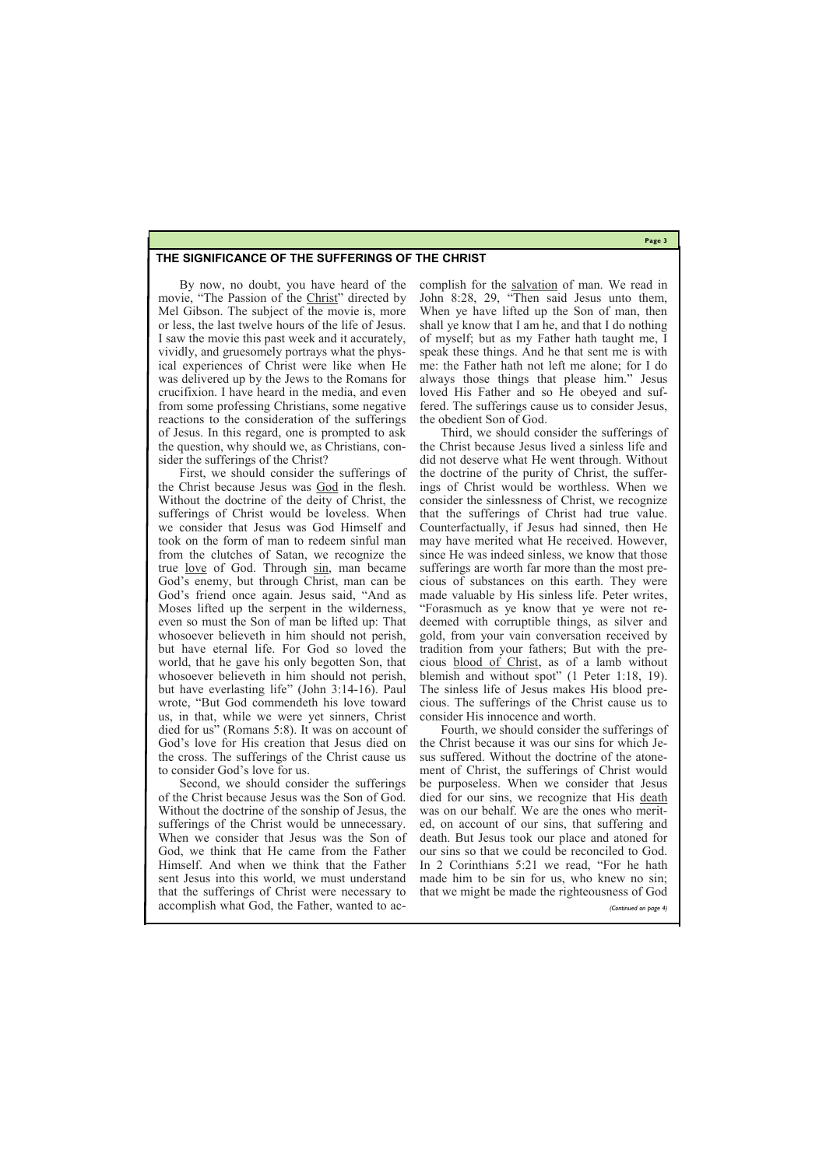**Page 3**

## **THE SIGNIFICANCE OF THE SUFFERINGS OF THE CHRIST**

By now, no doubt, you have heard of the movie, "The Passion of the [Christ](https://gewatkins.net/tag/jesus-christ/)" directed by Mel Gibson. The subject of the movie is, more or less, the last twelve hours of the life of Jesus. I saw the movie this past week and it accurately, vividly, and gruesomely portrays what the physical experiences of Christ were like when He was delivered up by the Jews to the Romans for crucifixion. I have heard in the media, and even from some professing Christians, some negative reactions to the consideration of the sufferings of Jesus. In this regard, one is prompted to ask the question, why should we, as Christians, consider the sufferings of the Christ?

First, we should consider the sufferings of the Christ because Jesus was [God](https://gewatkins.net/tag/god/) in the flesh. Without the doctrine of the deity of Christ, the sufferings of Christ would be loveless. When we consider that Jesus was God Himself and took on the form of man to redeem sinful man from the clutches of Satan, we recognize the true [love](https://gewatkins.net/tag/love/) of God. Through [sin,](https://gewatkins.net/tag/sin/) man became God's enemy, but through Christ, man can be God's friend once again. Jesus said, "And as Moses lifted up the serpent in the wilderness, even so must the Son of man be lifted up: That whosoever believeth in him should not perish, but have eternal life. For God so loved the world, that he gave his only begotten Son, that whosoever believeth in him should not perish, but have everlasting life" (John 3:14-16). Paul wrote, "But God commendeth his love toward us, in that, while we were yet sinners, Christ died for us" (Romans 5:8). It was on account of God's love for His creation that Jesus died on the cross. The sufferings of the Christ cause us to consider God's love for us.

complish for the [salvation](https://gewatkins.net/tag/salvation/) of man. We read in John 8:28, 29, "Then said Jesus unto them, When ye have lifted up the Son of man, then shall ye know that I am he, and that I do nothing of myself; but as my Father hath taught me, I speak these things. And he that sent me is with me: the Father hath not left me alone; for I do always those things that please him." Jesus loved His Father and so He obeyed and suffered. The sufferings cause us to consider Jesus, the obedient Son of God.

Second, we should consider the sufferings of the Christ because Jesus was the Son of God. Without the doctrine of the sonship of Jesus, the sufferings of the Christ would be unnecessary. When we consider that Jesus was the Son of God, we think that He came from the Father Himself. And when we think that the Father sent Jesus into this world, we must understand that the sufferings of Christ were necessary to accomplish what God, the Father, wanted to acbe purposeless. When we consider that Jesus died for our sins, we recognize that His [death](https://gewatkins.net/tag/death/) was on our behalf. We are the ones who merited, on account of our sins, that suffering and death. But Jesus took our place and atoned for our sins so that we could be reconciled to God. In 2 Corinthians 5:21 we read, "For he hath made him to be sin for us, who knew no sin; that we might be made the righteousness of God *(Continued on page 4)*

Third, we should consider the sufferings of the Christ because Jesus lived a sinless life and did not deserve what He went through. Without the doctrine of the purity of Christ, the sufferings of Christ would be worthless. When we consider the sinlessness of Christ, we recognize that the sufferings of Christ had true value. Counterfactually, if Jesus had sinned, then He may have merited what He received. However, since He was indeed sinless, we know that those sufferings are worth far more than the most precious of substances on this earth. They were made valuable by His sinless life. Peter writes, "Forasmuch as ye know that ye were not redeemed with corruptible things, as silver and gold, from your vain conversation received by tradition from your fathers; But with the precious [blood of Christ,](https://gewatkins.net/tag/blood-of-christ/) as of a lamb without blemish and without spot" (1 Peter 1:18, 19). The sinless life of Jesus makes His blood precious. The sufferings of the Christ cause us to consider His innocence and worth.

Fourth, we should consider the sufferings of the Christ because it was our sins for which Jesus suffered. Without the doctrine of the atonement of Christ, the sufferings of Christ would